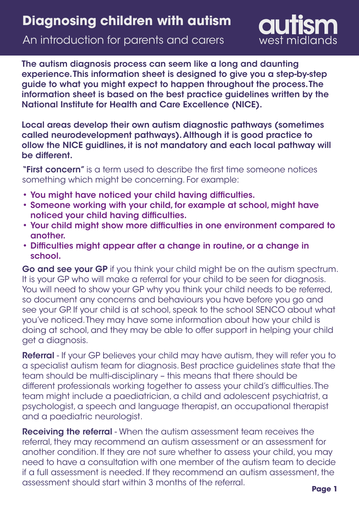# An introduction for parents and carers



The autism diagnosis process can seem like a long and daunting experience. This information sheet is designed to give you a step-by-step guide to what you might expect to happen throughout the process. The information sheet is based on the best practice guidelines written by the National Institute for Health and Care Excellence (NICE).

Local areas develop their own autism diagnostic pathways (sometimes called neurodevelopment pathways). Although it is good practice to ollow the NICE guidlines, it is not mandatory and each local pathway will be different.

"First concern" is a term used to describe the first time someone notices something which might be concerning. For example:

- You might have noticed your child having difficulties.
- Someone working with your child, for example at school, might have noticed your child having difficulties.
- Your child might show more difficulties in one environment compared to another.
- Difficulties might appear after a change in routine, or a change in school.

Go and see your GP if you think your child might be on the autism spectrum. It is your GP who will make a referral for your child to be seen for diagnosis. You will need to show your GP why you think your child needs to be referred, so document any concerns and behaviours you have before you go and see your GP. If your child is at school, speak to the school SENCO about what you've noticed. They may have some information about how your child is doing at school, and they may be able to offer support in helping your child get a diagnosis.

Referral - If your GP believes your child may have autism, they will refer you to a specialist autism team for diagnosis. Best practice guidelines state that the team should be multi-disciplinary – this means that there should be different professionals working together to assess your child's difficulties. The team might include a paediatrician, a child and adolescent psychiatrist, a psychologist, a speech and language therapist, an occupational therapist and a paediatric neurologist.

Receiving the referral - When the autism assessment team receives the referral, they may recommend an autism assessment or an assessment for another condition. If they are not sure whether to assess your child, you may need to have a consultation with one member of the autism team to decide if a full assessment is needed. If they recommend an autism assessment, the assessment should start within 3 months of the referral.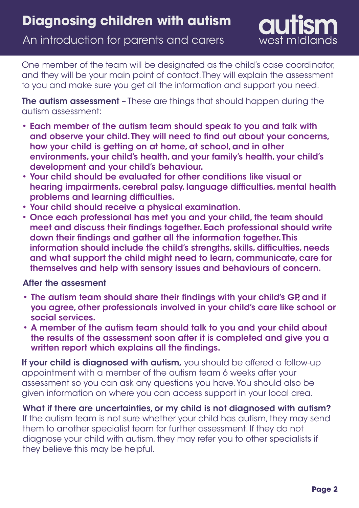An introduction for parents and carers



One member of the team will be designated as the child's case coordinator, and they will be your main point of contact. They will explain the assessment to you and make sure you get all the information and support you need.

The autism assessment - These are things that should happen during the autism assessment:

- Each member of the autism team should speak to you and talk with and observe your child. They will need to find out about your concerns, how your child is getting on at home, at school, and in other environments, your child's health, and your family's health, your child's development and your child's behaviour.
- Your child should be evaluated for other conditions like visual or hearing impairments, cerebral palsy, language difficulties, mental health problems and learning difficulties.
- Your child should receive a physical examination.
- Once each professional has met you and your child, the team should meet and discuss their findings together. Each professional should write down their findings and gather all the information together. This information should include the child's strengths, skills, difficulties, needs and what support the child might need to learn, communicate, care for themselves and help with sensory issues and behaviours of concern.

### After the assesment

- The autism team should share their findings with your child's GP, and if you agree, other professionals involved in your child's care like school or social services.
- A member of the autism team should talk to you and your child about the results of the assessment soon after it is completed and give you a written report which explains all the findings.

If your child is diagnosed with autism, you should be offered a follow-up appointment with a member of the autism team 6 weeks after your assessment so you can ask any questions you have. You should also be given information on where you can access support in your local area.

What if there are uncertainties, or my child is not diagnosed with autism? If the autism team is not sure whether your child has autism, they may send them to another specialist team for further assessment. If they do not diagnose your child with autism, they may refer you to other specialists if they believe this may be helpful.